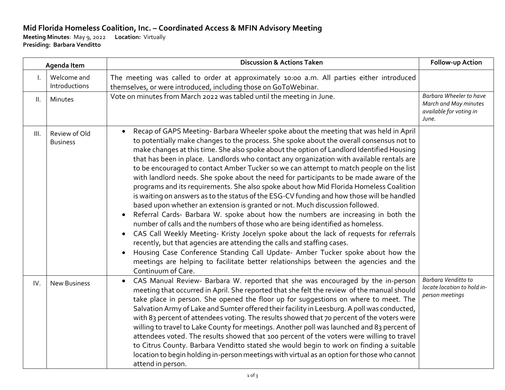## **Mid Florida Homeless Coalition, Inc. – Coordinated Access & MFIN Advisory Meeting**

**Meeting Minutes**: May 9, 2022 **Location:** Virtually **Presiding: Barbara Venditto**

| Agenda Item |                                  | <b>Discussion &amp; Actions Taken</b>                                                                                                                                                                                                                                                                                                                                                                                                                                                                                                                                                                                                                                                                                                                                                                                                                                                                                                                                                                                                                                                                                                                                                                                                                                                                                                                                               | Follow-up Action                                                                     |
|-------------|----------------------------------|-------------------------------------------------------------------------------------------------------------------------------------------------------------------------------------------------------------------------------------------------------------------------------------------------------------------------------------------------------------------------------------------------------------------------------------------------------------------------------------------------------------------------------------------------------------------------------------------------------------------------------------------------------------------------------------------------------------------------------------------------------------------------------------------------------------------------------------------------------------------------------------------------------------------------------------------------------------------------------------------------------------------------------------------------------------------------------------------------------------------------------------------------------------------------------------------------------------------------------------------------------------------------------------------------------------------------------------------------------------------------------------|--------------------------------------------------------------------------------------|
| I.          | Welcome and<br>Introductions     | The meeting was called to order at approximately 10:00 a.m. All parties either introduced<br>themselves, or were introduced, including those on GoToWebinar.                                                                                                                                                                                                                                                                                                                                                                                                                                                                                                                                                                                                                                                                                                                                                                                                                                                                                                                                                                                                                                                                                                                                                                                                                        |                                                                                      |
| II.         | Minutes                          | Vote on minutes from March 2022 was tabled until the meeting in June.                                                                                                                                                                                                                                                                                                                                                                                                                                                                                                                                                                                                                                                                                                                                                                                                                                                                                                                                                                                                                                                                                                                                                                                                                                                                                                               | Barbara Wheeler to have<br>March and May minutes<br>available for voting in<br>June. |
| III.        | Review of Old<br><b>Business</b> | Recap of GAPS Meeting- Barbara Wheeler spoke about the meeting that was held in April<br>to potentially make changes to the process. She spoke about the overall consensus not to<br>make changes at this time. She also spoke about the option of Landlord Identified Housing<br>that has been in place. Landlords who contact any organization with available rentals are<br>to be encouraged to contact Amber Tucker so we can attempt to match people on the list<br>with landlord needs. She spoke about the need for participants to be made aware of the<br>programs and its requirements. She also spoke about how Mid Florida Homeless Coalition<br>is waiting on answers as to the status of the ESG-CV funding and how those will be handled<br>based upon whether an extension is granted or not. Much discussion followed.<br>Referral Cards- Barbara W. spoke about how the numbers are increasing in both the<br>number of calls and the numbers of those who are being identified as homeless.<br>CAS Call Weekly Meeting- Kristy Jocelyn spoke about the lack of requests for referrals<br>recently, but that agencies are attending the calls and staffing cases.<br>Housing Case Conference Standing Call Update- Amber Tucker spoke about how the<br>meetings are helping to facilitate better relationships between the agencies and the<br>Continuum of Care. |                                                                                      |
| IV.         | <b>New Business</b>              | CAS Manual Review- Barbara W. reported that she was encouraged by the in-person<br>$\bullet$<br>meeting that occurred in April. She reported that she felt the review of the manual should<br>take place in person. She opened the floor up for suggestions on where to meet. The<br>Salvation Army of Lake and Sumter offered their facility in Leesburg. A poll was conducted,<br>with 83 percent of attendees voting. The results showed that 70 percent of the voters were<br>willing to travel to Lake County for meetings. Another poll was launched and 83 percent of<br>attendees voted. The results showed that 100 percent of the voters were willing to travel<br>to Citrus County. Barbara Venditto stated she would begin to work on finding a suitable<br>location to begin holding in-person meetings with virtual as an option for those who cannot<br>attend in person.                                                                                                                                                                                                                                                                                                                                                                                                                                                                                            | Barbara Venditto to<br>locate location to hold in-<br>person meetings                |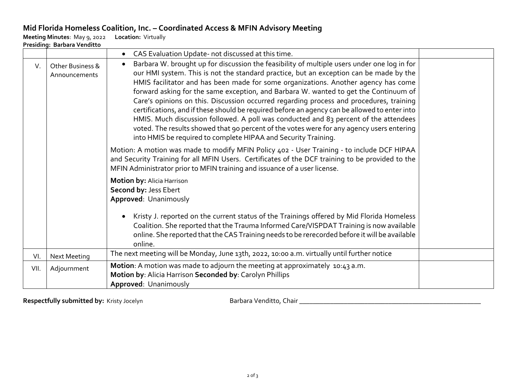## **Mid Florida Homeless Coalition, Inc. – Coordinated Access & MFIN Advisory Meeting**

**Meeting Minutes**: May 9, 2022 **Location:** Virtually

| Presiding: Barbara Venditto |                                   |                                                                                                                                                                                                                                                                                                                                                                                                                                                                                                                                                                                                                                                                                                                                                                                                                                     |  |  |  |  |  |
|-----------------------------|-----------------------------------|-------------------------------------------------------------------------------------------------------------------------------------------------------------------------------------------------------------------------------------------------------------------------------------------------------------------------------------------------------------------------------------------------------------------------------------------------------------------------------------------------------------------------------------------------------------------------------------------------------------------------------------------------------------------------------------------------------------------------------------------------------------------------------------------------------------------------------------|--|--|--|--|--|
|                             |                                   | CAS Evaluation Update- not discussed at this time.                                                                                                                                                                                                                                                                                                                                                                                                                                                                                                                                                                                                                                                                                                                                                                                  |  |  |  |  |  |
| V.                          | Other Business &<br>Announcements | Barbara W. brought up for discussion the feasibility of multiple users under one log in for<br>$\bullet$<br>our HMI system. This is not the standard practice, but an exception can be made by the<br>HMIS facilitator and has been made for some organizations. Another agency has come<br>forward asking for the same exception, and Barbara W. wanted to get the Continuum of<br>Care's opinions on this. Discussion occurred regarding process and procedures, training<br>certifications, and if these should be required before an agency can be allowed to enter into<br>HMIS. Much discussion followed. A poll was conducted and 83 percent of the attendees<br>voted. The results showed that 90 percent of the votes were for any agency users entering<br>into HMIS be required to complete HIPAA and Security Training. |  |  |  |  |  |
|                             |                                   | Motion: A motion was made to modify MFIN Policy 402 - User Training - to include DCF HIPAA<br>and Security Training for all MFIN Users. Certificates of the DCF training to be provided to the<br>MFIN Administrator prior to MFIN training and issuance of a user license.                                                                                                                                                                                                                                                                                                                                                                                                                                                                                                                                                         |  |  |  |  |  |
|                             |                                   | Motion by: Alicia Harrison<br>Second by: Jess Ebert<br>Approved: Unanimously                                                                                                                                                                                                                                                                                                                                                                                                                                                                                                                                                                                                                                                                                                                                                        |  |  |  |  |  |
|                             |                                   | Kristy J. reported on the current status of the Trainings offered by Mid Florida Homeless<br>Coalition. She reported that the Trauma Informed Care/VISPDAT Training is now available<br>online. She reported that the CAS Training needs to be rerecorded before it will be available<br>online.                                                                                                                                                                                                                                                                                                                                                                                                                                                                                                                                    |  |  |  |  |  |
| VI.                         | <b>Next Meeting</b>               | The next meeting will be Monday, June 13th, 2022, 10:00 a.m. virtually until further notice                                                                                                                                                                                                                                                                                                                                                                                                                                                                                                                                                                                                                                                                                                                                         |  |  |  |  |  |
| VII.                        | Adjournment                       | Motion: A motion was made to adjourn the meeting at approximately 10:43 a.m.<br>Motion by: Alicia Harrison Seconded by: Carolyn Phillips<br>Approved: Unanimously                                                                                                                                                                                                                                                                                                                                                                                                                                                                                                                                                                                                                                                                   |  |  |  |  |  |

Respectfully submitted by: Kristy Jocelyn **Barbara Venditto, Chair Chair Constanting Constanting Constanting Constanting Constanting Constanting Constanting Constanting Constanting Constanting Constanting Constanting C**